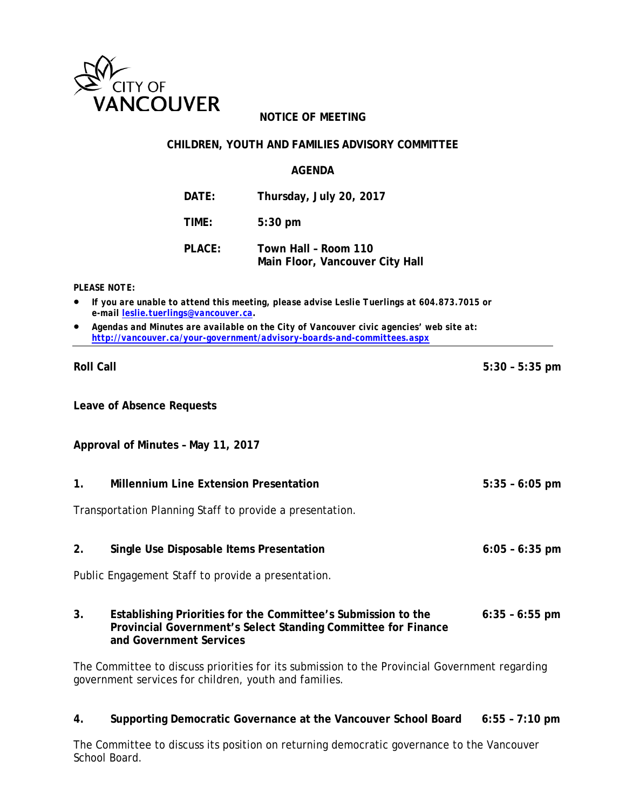

## **NOTICE OF MEETING**

#### **CHILDREN, YOUTH AND FAMILIES ADVISORY COMMITTEE**

#### **AGENDA**

**DATE: Thursday, July 20, 2017**

**TIME: 5:30 pm**

**PLACE: Town Hall – Room 110 Main Floor, Vancouver City Hall**

*PLEASE NOTE:*

- *If you are unable to attend this meeting, please advise Leslie Tuerlings at 604.873.7015 or e-mail leslie.tuerlings@vancouver.ca.*
- *Agendas and Minutes are available on the City of Vancouver civic agencies' web site at: <http://vancouver.ca/your-government/advisory-boards-and-committees.aspx>*

**Leave of Absence Requests**

**Approval of Minutes – May 11, 2017**

**1. Millennium Line Extension Presentation 5:35 – 6:05 pm**

Transportation Planning Staff to provide a presentation.

#### **2. Single Use Disposable Items Presentation 6:05 – 6:35 pm**

Public Engagement Staff to provide a presentation.

**3. Establishing Priorities for the Committee's Submission to the 6:35 – 6:55 pm Provincial Government's Select Standing Committee for Finance and Government Services** 

The Committee to discuss priorities for its submission to the Provincial Government regarding government services for children, youth and families.

#### **4. Supporting Democratic Governance at the Vancouver School Board 6:55 – 7:10 pm**

The Committee to discuss its position on returning democratic governance to the Vancouver School Board.

**Roll Call 5:30 – 5:35 pm**